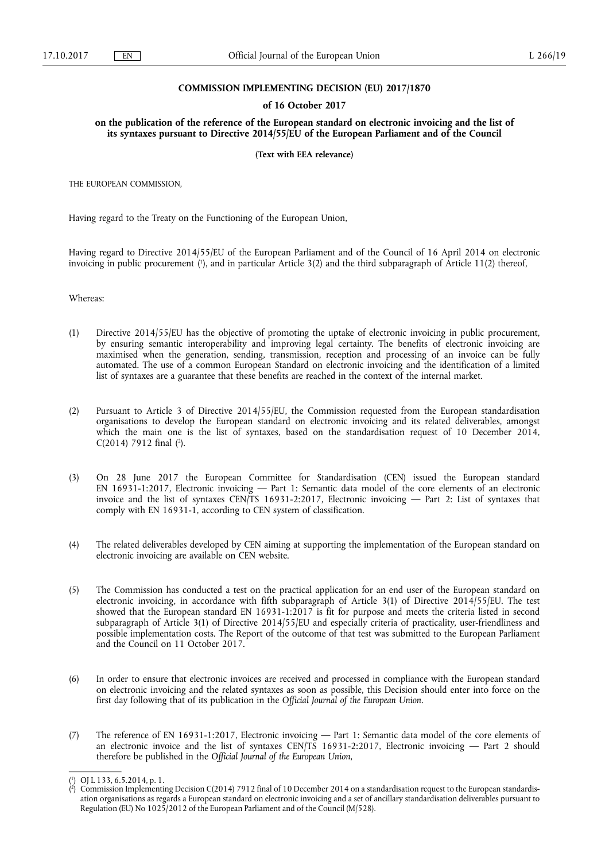### **COMMISSION IMPLEMENTING DECISION (EU) 2017/1870**

#### **of 16 October 2017**

**on the publication of the reference of the European standard on electronic invoicing and the list of its syntaxes pursuant to Directive 2014/55/EU of the European Parliament and of the Council** 

**(Text with EEA relevance)** 

THE EUROPEAN COMMISSION,

Having regard to the Treaty on the Functioning of the European Union,

Having regard to Directive 2014/55/EU of the European Parliament and of the Council of 16 April 2014 on electronic invoicing in public procurement ( 1 ), and in particular Article 3(2) and the third subparagraph of Article 11(2) thereof,

Whereas:

- (1) Directive 2014/55/EU has the objective of promoting the uptake of electronic invoicing in public procurement, by ensuring semantic interoperability and improving legal certainty. The benefits of electronic invoicing are maximised when the generation, sending, transmission, reception and processing of an invoice can be fully automated. The use of a common European Standard on electronic invoicing and the identification of a limited list of syntaxes are a guarantee that these benefits are reached in the context of the internal market.
- (2) Pursuant to Article 3 of Directive 2014/55/EU, the Commission requested from the European standardisation organisations to develop the European standard on electronic invoicing and its related deliverables, amongst which the main one is the list of syntaxes, based on the standardisation request of 10 December 2014,  $C(2014)$  7912 final  $(2)$ .
- (3) On 28 June 2017 the European Committee for Standardisation (CEN) issued the European standard EN 16931-1:2017, Electronic invoicing — Part 1: Semantic data model of the core elements of an electronic invoice and the list of syntaxes CEN/TS 16931-2:2017, Electronic invoicing — Part 2: List of syntaxes that comply with EN 16931-1, according to CEN system of classification.
- (4) The related deliverables developed by CEN aiming at supporting the implementation of the European standard on electronic invoicing are available on CEN website.
- (5) The Commission has conducted a test on the practical application for an end user of the European standard on electronic invoicing, in accordance with fifth subparagraph of Article 3(1) of Directive 2014/55/EU. The test showed that the European standard EN 16931-1:2017 is fit for purpose and meets the criteria listed in second subparagraph of Article 3(1) of Directive 2014/55/EU and especially criteria of practicality, user-friendliness and possible implementation costs. The Report of the outcome of that test was submitted to the European Parliament and the Council on 11 October 2017.
- (6) In order to ensure that electronic invoices are received and processed in compliance with the European standard on electronic invoicing and the related syntaxes as soon as possible, this Decision should enter into force on the first day following that of its publication in the *Official Journal of the European Union*.
- (7) The reference of EN 16931-1:2017, Electronic invoicing Part 1: Semantic data model of the core elements of an electronic invoice and the list of syntaxes CEN/TS 16931-2:2017, Electronic invoicing  $-$  Part 2 should therefore be published in the *Official Journal of the European Union*,

<sup>(</sup> 1 ) OJ L 133, 6.5.2014, p. 1.

<sup>(</sup> 2 ) Commission Implementing Decision C(2014) 7912 final of 10 December 2014 on a standardisation request to the European standardisation organisations as regards a European standard on electronic invoicing and a set of ancillary standardisation deliverables pursuant to Regulation (EU) No 1025/2012 of the European Parliament and of the Council (M/528).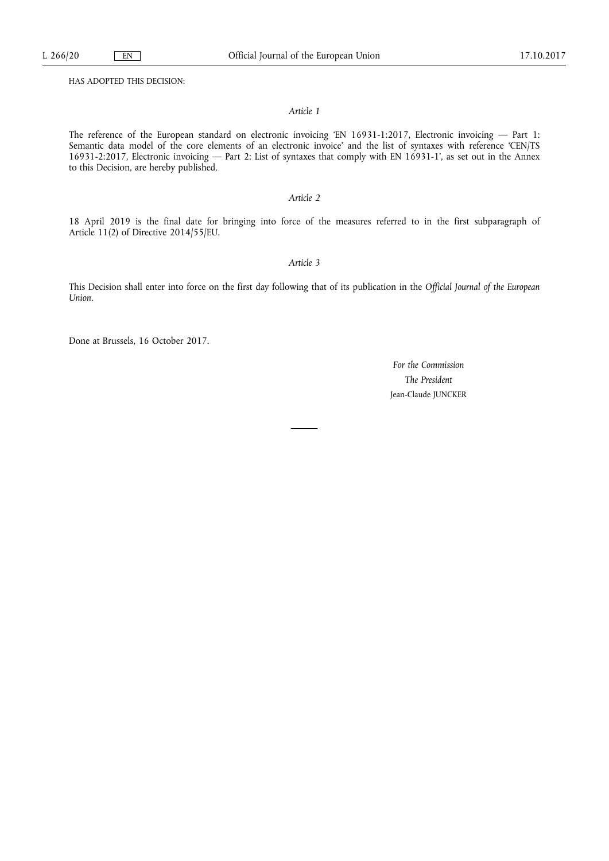HAS ADOPTED THIS DECISION:

#### *Article 1*

The reference of the European standard on electronic invoicing 'EN 16931-1:2017, Electronic invoicing — Part 1: Semantic data model of the core elements of an electronic invoice' and the list of syntaxes with reference 'CEN/TS 16931-2:2017, Electronic invoicing — Part 2: List of syntaxes that comply with EN 16931-1', as set out in the Annex to this Decision, are hereby published.

## *Article 2*

18 April 2019 is the final date for bringing into force of the measures referred to in the first subparagraph of Article 11(2) of Directive 2014/55/EU.

# *Article 3*

This Decision shall enter into force on the first day following that of its publication in the *Official Journal of the European Union*.

Done at Brussels, 16 October 2017.

*For the Commission The President*  Jean-Claude JUNCKER